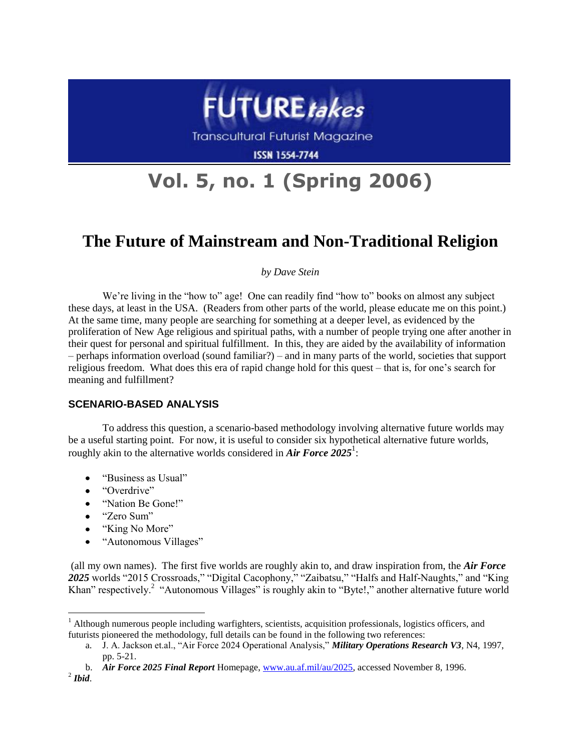

**Transcultural Futurist Magazine** 

**ISSN 1554-7744** 

# **Vol. 5, no. 1 (Spring 2006)**

# **The Future of Mainstream and Non-Traditional Religion**

# *by Dave Stein*

We're living in the "how to" age! One can readily find "how to" books on almost any subject these days, at least in the USA. (Readers from other parts of the world, please educate me on this point.) At the same time, many people are searching for something at a deeper level, as evidenced by the proliferation of New Age religious and spiritual paths, with a number of people trying one after another in their quest for personal and spiritual fulfillment. In this, they are aided by the availability of information – perhaps information overload (sound familiar?) – and in many parts of the world, societies that support religious freedom. What does this era of rapid change hold for this quest – that is, for one's search for meaning and fulfillment?

# **SCENARIO-BASED ANALYSIS**

To address this question, a scenario-based methodology involving alternative future worlds may be a useful starting point. For now, it is useful to consider six hypothetical alternative future worlds, roughly akin to the alternative worlds considered in *Air Force* 2025<sup>1</sup>:

- "Business as Usual"
- "Overdrive"
- "Nation Be Gone!"
- "Zero Sum"

 $\overline{a}$ 

- "King No More"
- "Autonomous Villages"

(all my own names). The first five worlds are roughly akin to, and draw inspiration from, the *Air Force 2025* worlds "2015 Crossroads," "Digital Cacophony," "Zaibatsu," "Halfs and Half-Naughts," and "King Khan" respectively.<sup>2</sup> "Autonomous Villages" is roughly akin to "Byte!," another alternative future world

 $<sup>1</sup>$  Although numerous people including warfighters, scientists, acquisition professionals, logistics officers, and</sup> futurists pioneered the methodology, full details can be found in the following two references:

a. J. A. Jackson et.al., "Air Force 2024 Operational Analysis," *Military Operations Research V3*, N4, 1997, pp. 5-21.

b. *Air Force 2025 Final Report* Homepage, [www.au.af.mil/au/2025,](http://www.au.af.mil/au/2025) accessed November 8, 1996. 2 *Ibid*.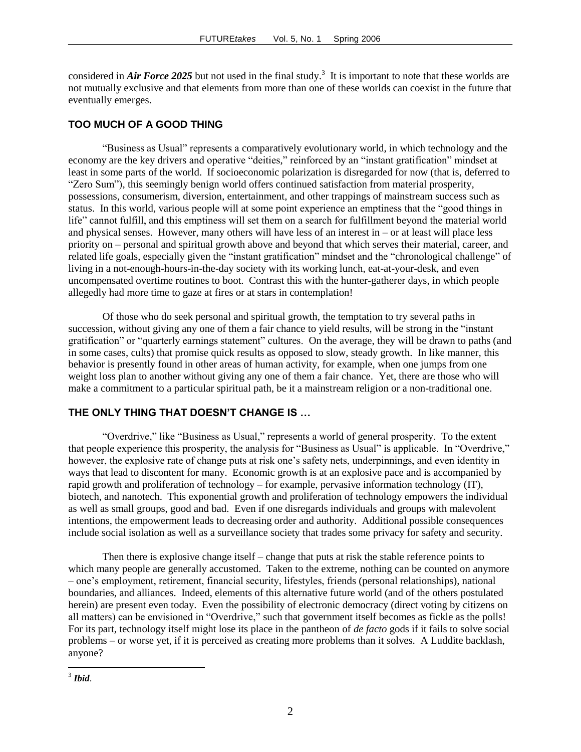considered in *Air Force* 2025 but not used in the final study.<sup>3</sup> It is important to note that these worlds are not mutually exclusive and that elements from more than one of these worlds can coexist in the future that eventually emerges.

#### **TOO MUCH OF A GOOD THING**

"Business as Usual" represents a comparatively evolutionary world, in which technology and the economy are the key drivers and operative "deities," reinforced by an "instant gratification" mindset at least in some parts of the world. If socioeconomic polarization is disregarded for now (that is, deferred to "Zero Sum"), this seemingly benign world offers continued satisfaction from material prosperity, possessions, consumerism, diversion, entertainment, and other trappings of mainstream success such as status. In this world, various people will at some point experience an emptiness that the "good things in life" cannot fulfill, and this emptiness will set them on a search for fulfillment beyond the material world and physical senses. However, many others will have less of an interest in – or at least will place less priority on – personal and spiritual growth above and beyond that which serves their material, career, and related life goals, especially given the "instant gratification" mindset and the "chronological challenge" of living in a not-enough-hours-in-the-day society with its working lunch, eat-at-your-desk, and even uncompensated overtime routines to boot. Contrast this with the hunter-gatherer days, in which people allegedly had more time to gaze at fires or at stars in contemplation!

Of those who do seek personal and spiritual growth, the temptation to try several paths in succession, without giving any one of them a fair chance to yield results, will be strong in the "instant gratification" or "quarterly earnings statement" cultures. On the average, they will be drawn to paths (and in some cases, cults) that promise quick results as opposed to slow, steady growth. In like manner, this behavior is presently found in other areas of human activity, for example, when one jumps from one weight loss plan to another without giving any one of them a fair chance. Yet, there are those who will make a commitment to a particular spiritual path, be it a mainstream religion or a non-traditional one.

## **THE ONLY THING THAT DOESN'T CHANGE IS …**

"Overdrive," like "Business as Usual," represents a world of general prosperity. To the extent that people experience this prosperity, the analysis for "Business as Usual" is applicable. In "Overdrive," however, the explosive rate of change puts at risk one's safety nets, underpinnings, and even identity in ways that lead to discontent for many. Economic growth is at an explosive pace and is accompanied by rapid growth and proliferation of technology – for example, pervasive information technology (IT), biotech, and nanotech. This exponential growth and proliferation of technology empowers the individual as well as small groups, good and bad. Even if one disregards individuals and groups with malevolent intentions, the empowerment leads to decreasing order and authority. Additional possible consequences include social isolation as well as a surveillance society that trades some privacy for safety and security.

Then there is explosive change itself – change that puts at risk the stable reference points to which many people are generally accustomed. Taken to the extreme, nothing can be counted on anymore – one's employment, retirement, financial security, lifestyles, friends (personal relationships), national boundaries, and alliances. Indeed, elements of this alternative future world (and of the others postulated herein) are present even today. Even the possibility of electronic democracy (direct voting by citizens on all matters) can be envisioned in "Overdrive," such that government itself becomes as fickle as the polls! For its part, technology itself might lose its place in the pantheon of *de facto* gods if it fails to solve social problems – or worse yet, if it is perceived as creating more problems than it solves. A Luddite backlash, anyone?

 $\overline{a}$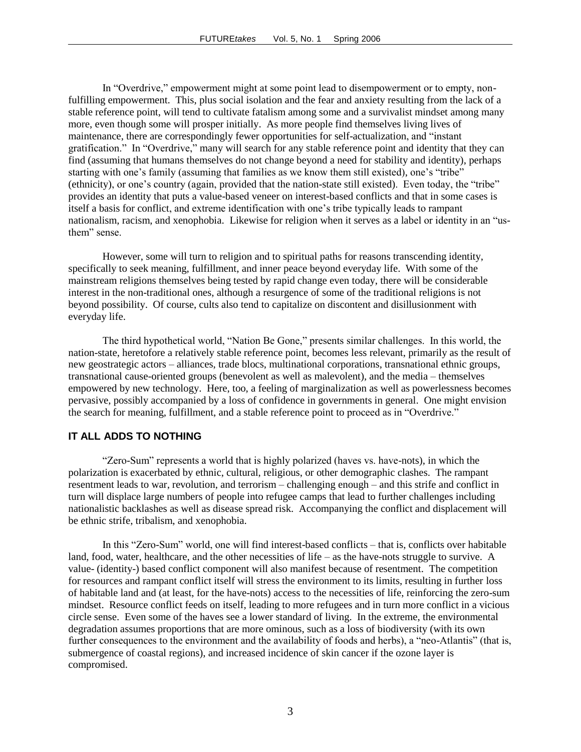In "Overdrive," empowerment might at some point lead to disempowerment or to empty, nonfulfilling empowerment. This, plus social isolation and the fear and anxiety resulting from the lack of a stable reference point, will tend to cultivate fatalism among some and a survivalist mindset among many more, even though some will prosper initially. As more people find themselves living lives of maintenance, there are correspondingly fewer opportunities for self-actualization, and "instant gratification." In "Overdrive," many will search for any stable reference point and identity that they can find (assuming that humans themselves do not change beyond a need for stability and identity), perhaps starting with one's family (assuming that families as we know them still existed), one's "tribe" (ethnicity), or one's country (again, provided that the nation-state still existed). Even today, the "tribe" provides an identity that puts a value-based veneer on interest-based conflicts and that in some cases is itself a basis for conflict, and extreme identification with one's tribe typically leads to rampant nationalism, racism, and xenophobia. Likewise for religion when it serves as a label or identity in an "usthem" sense.

However, some will turn to religion and to spiritual paths for reasons transcending identity, specifically to seek meaning, fulfillment, and inner peace beyond everyday life. With some of the mainstream religions themselves being tested by rapid change even today, there will be considerable interest in the non-traditional ones, although a resurgence of some of the traditional religions is not beyond possibility. Of course, cults also tend to capitalize on discontent and disillusionment with everyday life.

The third hypothetical world, "Nation Be Gone," presents similar challenges. In this world, the nation-state, heretofore a relatively stable reference point, becomes less relevant, primarily as the result of new geostrategic actors – alliances, trade blocs, multinational corporations, transnational ethnic groups, transnational cause-oriented groups (benevolent as well as malevolent), and the media – themselves empowered by new technology. Here, too, a feeling of marginalization as well as powerlessness becomes pervasive, possibly accompanied by a loss of confidence in governments in general. One might envision the search for meaning, fulfillment, and a stable reference point to proceed as in "Overdrive."

## **IT ALL ADDS TO NOTHING**

"Zero-Sum" represents a world that is highly polarized (haves vs. have-nots), in which the polarization is exacerbated by ethnic, cultural, religious, or other demographic clashes. The rampant resentment leads to war, revolution, and terrorism – challenging enough – and this strife and conflict in turn will displace large numbers of people into refugee camps that lead to further challenges including nationalistic backlashes as well as disease spread risk. Accompanying the conflict and displacement will be ethnic strife, tribalism, and xenophobia.

In this "Zero-Sum" world, one will find interest-based conflicts – that is, conflicts over habitable land, food, water, healthcare, and the other necessities of life – as the have-nots struggle to survive. A value- (identity-) based conflict component will also manifest because of resentment. The competition for resources and rampant conflict itself will stress the environment to its limits, resulting in further loss of habitable land and (at least, for the have-nots) access to the necessities of life, reinforcing the zero-sum mindset. Resource conflict feeds on itself, leading to more refugees and in turn more conflict in a vicious circle sense. Even some of the haves see a lower standard of living. In the extreme, the environmental degradation assumes proportions that are more ominous, such as a loss of biodiversity (with its own further consequences to the environment and the availability of foods and herbs), a "neo-Atlantis" (that is, submergence of coastal regions), and increased incidence of skin cancer if the ozone layer is compromised.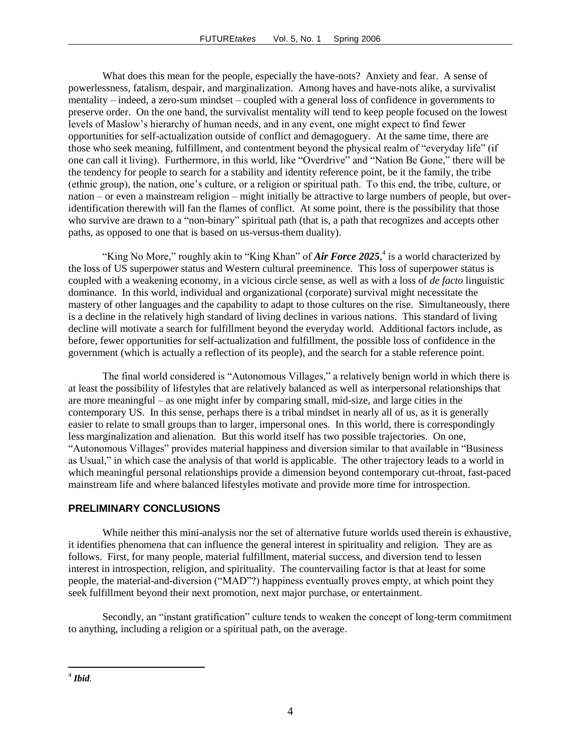What does this mean for the people, especially the have-nots? Anxiety and fear. A sense of powerlessness, fatalism, despair, and marginalization. Among haves and have-nots alike, a survivalist mentality – indeed, a zero-sum mindset – coupled with a general loss of confidence in governments to preserve order. On the one hand, the survivalist mentality will tend to keep people focused on the lowest levels of Maslow's hierarchy of human needs, and in any event, one might expect to find fewer opportunities for self-actualization outside of conflict and demagoguery. At the same time, there are those who seek meaning, fulfillment, and contentment beyond the physical realm of "everyday life" (if one can call it living). Furthermore, in this world, like "Overdrive" and "Nation Be Gone," there will be the tendency for people to search for a stability and identity reference point, be it the family, the tribe (ethnic group), the nation, one's culture, or a religion or spiritual path. To this end, the tribe, culture, or nation – or even a mainstream religion – might initially be attractive to large numbers of people, but overidentification therewith will fan the flames of conflict. At some point, there is the possibility that those who survive are drawn to a "non-binary" spiritual path (that is, a path that recognizes and accepts other paths, as opposed to one that is based on us-versus-them duality).

"King No More," roughly akin to "King Khan" of *Air Force* 2025,<sup>4</sup> is a world characterized by the loss of US superpower status and Western cultural preeminence. This loss of superpower status is coupled with a weakening economy, in a vicious circle sense, as well as with a loss of *de facto* linguistic dominance. In this world, individual and organizational (corporate) survival might necessitate the mastery of other languages and the capability to adapt to those cultures on the rise. Simultaneously, there is a decline in the relatively high standard of living declines in various nations. This standard of living decline will motivate a search for fulfillment beyond the everyday world. Additional factors include, as before, fewer opportunities for self-actualization and fulfillment, the possible loss of confidence in the government (which is actually a reflection of its people), and the search for a stable reference point.

The final world considered is "Autonomous Villages," a relatively benign world in which there is at least the possibility of lifestyles that are relatively balanced as well as interpersonal relationships that are more meaningful – as one might infer by comparing small, mid-size, and large cities in the contemporary US. In this sense, perhaps there is a tribal mindset in nearly all of us, as it is generally easier to relate to small groups than to larger, impersonal ones. In this world, there is correspondingly less marginalization and alienation. But this world itself has two possible trajectories. On one, "Autonomous Villages" provides material happiness and diversion similar to that available in "Business as Usual," in which case the analysis of that world is applicable. The other trajectory leads to a world in which meaningful personal relationships provide a dimension beyond contemporary cut-throat, fast-paced mainstream life and where balanced lifestyles motivate and provide more time for introspection.

#### **PRELIMINARY CONCLUSIONS**

While neither this mini-analysis nor the set of alternative future worlds used therein is exhaustive, it identifies phenomena that can influence the general interest in spirituality and religion. They are as follows. First, for many people, material fulfillment, material success, and diversion tend to lessen interest in introspection, religion, and spirituality. The countervailing factor is that at least for some people, the material-and-diversion ("MAD"?) happiness eventually proves empty, at which point they seek fulfillment beyond their next promotion, next major purchase, or entertainment.

Secondly, an "instant gratification" culture tends to weaken the concept of long-term commitment to anything, including a religion or a spiritual path, on the average.

 4 *Ibid*.